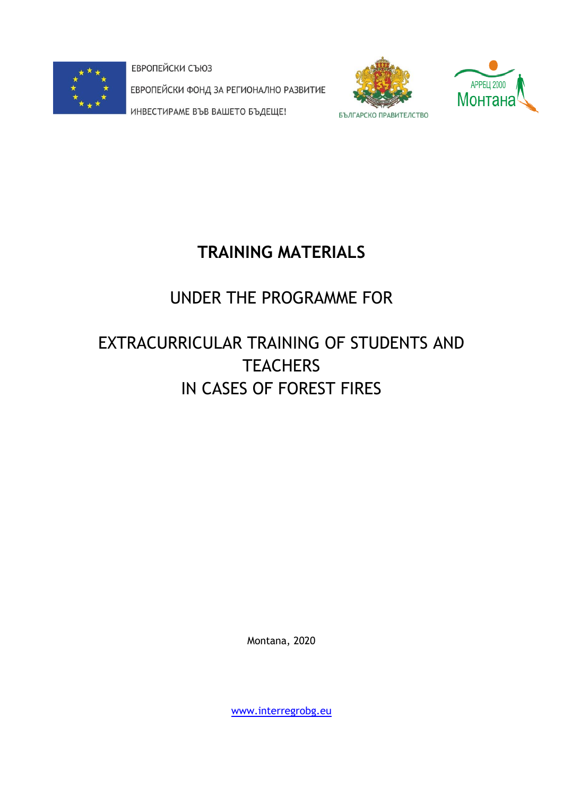

ЕВРОПЕЙСКИ СЪЮЗ ЕВРОПЕЙСКИ ФОНД ЗА РЕГИОНАЛНО РАЗВИТИЕ ИНВЕСТИРАМЕ ВЪВ ВАШЕТО БЪДЕЩЕ!





# **TRAINING MATERIALS**

# UNDER THE PROGRAMME FOR

# EXTRACURRICULAR TRAINING OF STUDENTS AND **TEACHERS** IN CASES OF FOREST FIRES

Montana, 2020

[www.interregrobg.eu](http://www.interregrobg.eu/)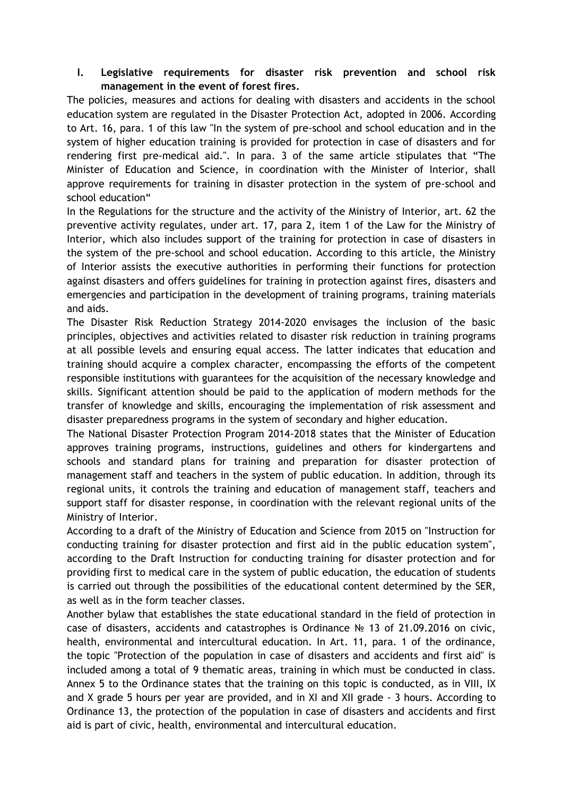# **I. Legislative requirements for disaster risk prevention and school risk management in the event of forest fires.**

The policies, measures and actions for dealing with disasters and accidents in the school education system are regulated in the Disaster Protection Act, adopted in 2006. According to Art. 16, para. 1 of this law "In the system of pre-school and school education and in the system of higher education training is provided for protection in case of disasters and for rendering first pre-medical aid.". In para. 3 of the same article stipulates that "The Minister of Education and Science, in coordination with the Minister of Interior, shall approve requirements for training in disaster protection in the system of pre-school and school education"

In the Regulations for the structure and the activity of the Ministry of Interior, art. 62 the preventive activity regulates, under art. 17, para 2, item 1 of the Law for the Ministry of Interior, which also includes support of the training for protection in case of disasters in the system of the pre-school and school education. According to this article, the Ministry of Interior assists the executive authorities in performing their functions for protection against disasters and offers guidelines for training in protection against fires, disasters and emergencies and participation in the development of training programs, training materials and aids.

The Disaster Risk Reduction Strategy 2014-2020 envisages the inclusion of the basic principles, objectives and activities related to disaster risk reduction in training programs at all possible levels and ensuring equal access. The latter indicates that education and training should acquire a complex character, encompassing the efforts of the competent responsible institutions with guarantees for the acquisition of the necessary knowledge and skills. Significant attention should be paid to the application of modern methods for the transfer of knowledge and skills, encouraging the implementation of risk assessment and disaster preparedness programs in the system of secondary and higher education.

The National Disaster Protection Program 2014-2018 states that the Minister of Education approves training programs, instructions, guidelines and others for kindergartens and schools and standard plans for training and preparation for disaster protection of management staff and teachers in the system of public education. In addition, through its regional units, it controls the training and education of management staff, teachers and support staff for disaster response, in coordination with the relevant regional units of the Ministry of Interior.

According to a draft of the Ministry of Education and Science from 2015 on "Instruction for conducting training for disaster protection and first aid in the public education system", according to the Draft Instruction for conducting training for disaster protection and for providing first to medical care in the system of public education, the education of students is carried out through the possibilities of the educational content determined by the SER, as well as in the form teacher classes.

Another bylaw that establishes the state educational standard in the field of protection in case of disasters, accidents and catastrophes is Ordinance № 13 of 21.09.2016 on civic, health, environmental and intercultural education. In Art. 11, para. 1 of the ordinance, the topic "Protection of the population in case of disasters and accidents and first aid" is included among a total of 9 thematic areas, training in which must be conducted in class. Annex 5 to the Ordinance states that the training on this topic is conducted, as in VIII, IX and X grade 5 hours per year are provided, and in XI and XII grade - 3 hours. According to Ordinance 13, the protection of the population in case of disasters and accidents and first aid is part of civic, health, environmental and intercultural education.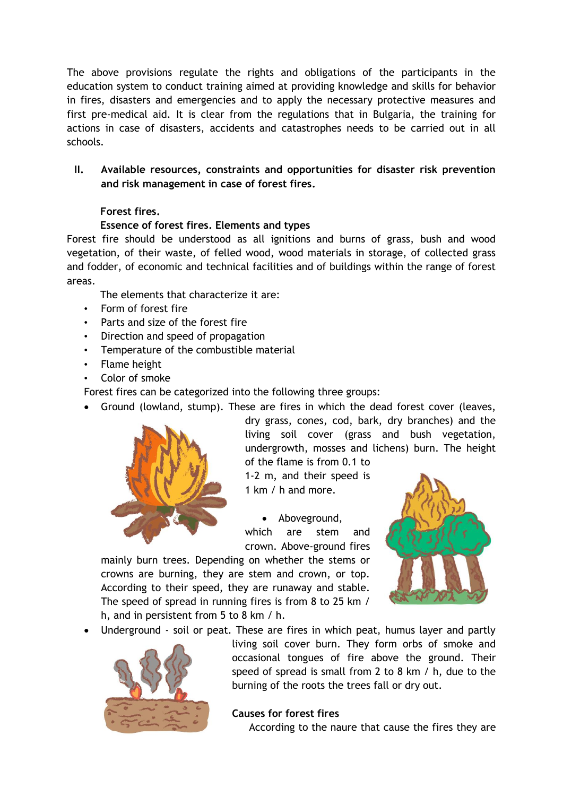The above provisions regulate the rights and obligations of the participants in the education system to conduct training aimed at providing knowledge and skills for behavior in fires, disasters and emergencies and to apply the necessary protective measures and first pre-medical aid. It is clear from the regulations that in Bulgaria, the training for actions in case of disasters, accidents and catastrophes needs to be carried out in all schools.

**II. Available resources, constraints and opportunities for disaster risk prevention and risk management in case of forest fires.**

# **Forest fires.**

### **Essence of forest fires. Elements and types**

Forest fire should be understood as all ignitions and burns of grass, bush and wood vegetation, of their waste, of felled wood, wood materials in storage, of collected grass and fodder, of economic and technical facilities and of buildings within the range of forest areas.

The elements that characterize it are:

- Form of forest fire
- Parts and size of the forest fire
- Direction and speed of propagation
- Temperature of the combustible material
- Flame height
- Color of smoke

Forest fires can be categorized into the following three groups:

Ground (lowland, stump). These are fires in which the dead forest cover (leaves,



dry grass, cones, cod, bark, dry branches) and the living soil cover (grass and bush vegetation, undergrowth, mosses and lichens) burn. The height of the flame is from 0.1 to

1-2 m, and their speed is 1 km / h and more.

 Aboveground, which are stem and crown. Above-ground fires

mainly burn trees. Depending on whether the stems or crowns are burning, they are stem and crown, or top. According to their speed, they are runaway and stable. The speed of spread in running fires is from 8 to 25 km / h, and in persistent from 5 to 8 km / h.



Underground - soil or peat. These are fires in which peat, humus layer and partly



living soil cover burn. They form orbs of smoke and occasional tongues of fire above the ground. Their speed of spread is small from 2 to 8 km / h, due to the burning of the roots the trees fall or dry out.

#### **Causes for forest fires**

According to the naure that cause the fires they are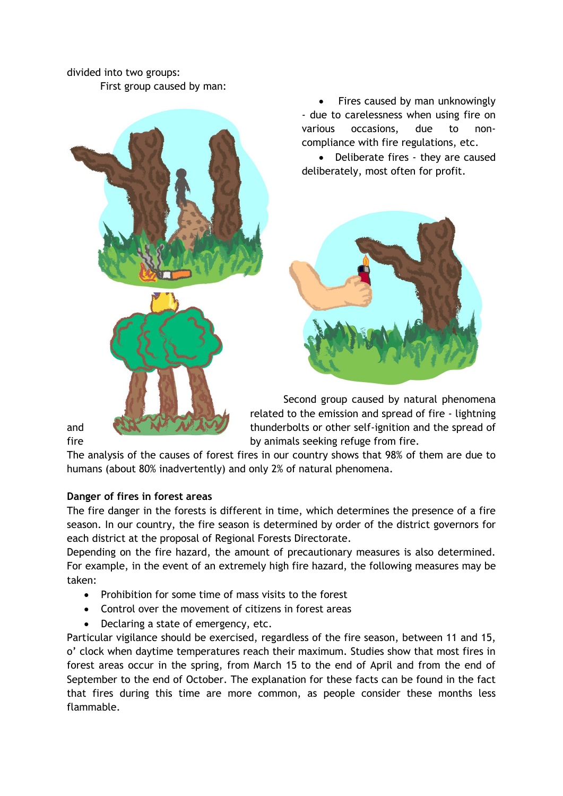# divided into two groups: First group caused by man:



 Fires caused by man unknowingly - due to carelessness when using fire on various occasions, due to noncompliance with fire regulations, etc.

 Deliberate fires - they are caused deliberately, most often for profit.



Second group caused by natural phenomena related to the emission and spread of fire - lightning and **thus and the spread of thunderbolts or other self-ignition and the spread of** fire by animals seeking refuge from fire.

The analysis of the causes of forest fires in our country shows that 98% of them are due to humans (about 80% inadvertently) and only 2% of natural phenomena.

# **Danger of fires in forest areas**

The fire danger in the forests is different in time, which determines the presence of a fire season. In our country, the fire season is determined by order of the district governors for each district at the proposal of Regional Forests Directorate.

Depending on the fire hazard, the amount of precautionary measures is also determined. For example, in the event of an extremely high fire hazard, the following measures may be taken:

- Prohibition for some time of mass visits to the forest
- Control over the movement of citizens in forest areas
- Declaring a state of emergency, etc.

Particular vigilance should be exercised, regardless of the fire season, between 11 and 15, o' clock when daytime temperatures reach their maximum. Studies show that most fires in forest areas occur in the spring, from March 15 to the end of April and from the end of September to the end of October. The explanation for these facts can be found in the fact that fires during this time are more common, as people consider these months less flammable.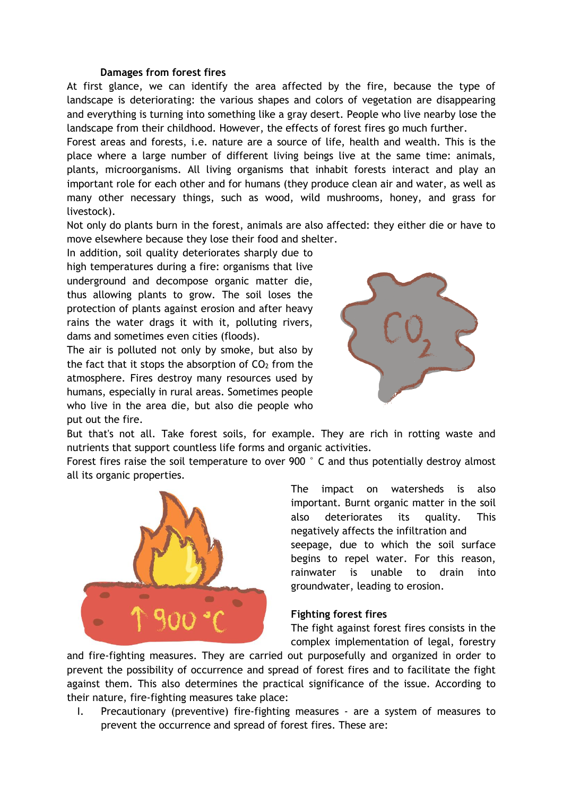#### **Damages from forest fires**

At first glance, we can identify the area affected by the fire, because the type of landscape is deteriorating: the various shapes and colors of vegetation are disappearing and everything is turning into something like a gray desert. People who live nearby lose the landscape from their childhood. However, the effects of forest fires go much further.

Forest areas and forests, i.e. nature are a source of life, health and wealth. This is the place where a large number of different living beings live at the same time: animals, plants, microorganisms. All living organisms that inhabit forests interact and play an important role for each other and for humans (they produce clean air and water, as well as many other necessary things, such as wood, wild mushrooms, honey, and grass for livestock).

Not only do plants burn in the forest, animals are also affected: they either die or have to move elsewhere because they lose their food and shelter.

In addition, soil quality deteriorates sharply due to high temperatures during a fire: organisms that live underground and decompose organic matter die, thus allowing plants to grow. The soil loses the protection of plants against erosion and after heavy rains the water drags it with it, polluting rivers, dams and sometimes even cities (floods).

The air is polluted not only by smoke, but also by the fact that it stops the absorption of  $CO<sub>2</sub>$  from the atmosphere. Fires destroy many resources used by humans, especially in rural areas. Sometimes people who live in the area die, but also die people who put out the fire.



But that's not all. Take forest soils, for example. They are rich in rotting waste and nutrients that support countless life forms and organic activities.

Forest fires raise the soil temperature to over 900 °C and thus potentially destroy almost all its organic properties.



The impact on watersheds is also important. Burnt organic matter in the soil also deteriorates its quality. This negatively affects the infiltration and seepage, due to which the soil surface begins to repel water. For this reason, rainwater is unable to drain into

#### **Fighting forest fires**

groundwater, leading to erosion.

The fight against forest fires consists in the complex implementation of legal, forestry

and fire-fighting measures. They are carried out purposefully and organized in order to prevent the possibility of occurrence and spread of forest fires and to facilitate the fight against them. This also determines the practical significance of the issue. According to their nature, fire-fighting measures take place:

I. Precautionary (preventive) fire-fighting measures - are a system of measures to prevent the occurrence and spread of forest fires. These are: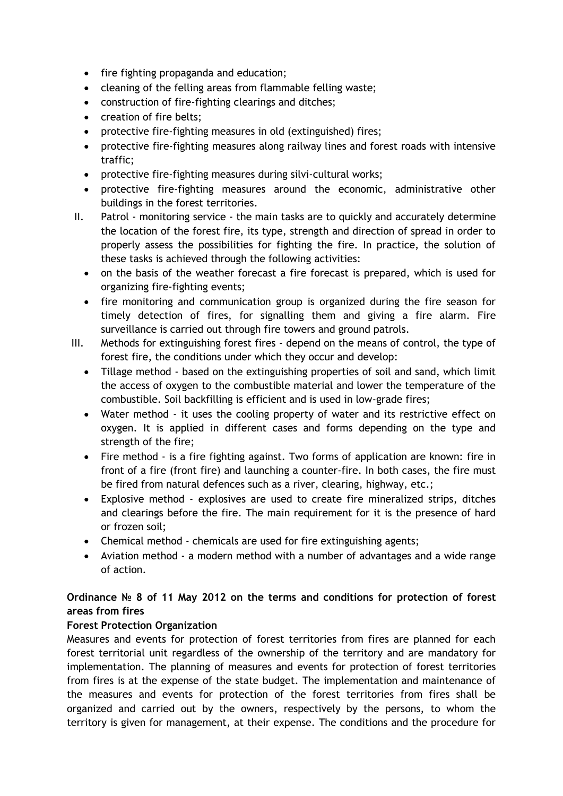- fire fighting propaganda and education;
- cleaning of the felling areas from flammable felling waste;
- construction of fire-fighting clearings and ditches;
- creation of fire belts;
- protective fire-fighting measures in old (extinguished) fires;
- protective fire-fighting measures along railway lines and forest roads with intensive traffic;
- protective fire-fighting measures during silvi-cultural works;
- protective fire-fighting measures around the economic, administrative other buildings in the forest territories.
- II. Patrol monitoring service the main tasks are to quickly and accurately determine the location of the forest fire, its type, strength and direction of spread in order to properly assess the possibilities for fighting the fire. In practice, the solution of these tasks is achieved through the following activities:
	- on the basis of the weather forecast a fire forecast is prepared, which is used for organizing fire-fighting events;
	- fire monitoring and communication group is organized during the fire season for timely detection of fires, for signalling them and giving a fire alarm. Fire surveillance is carried out through fire towers and ground patrols.
- III. Methods for extinguishing forest fires depend on the means of control, the type of forest fire, the conditions under which they occur and develop:
	- Tillage method based on the extinguishing properties of soil and sand, which limit the access of oxygen to the combustible material and lower the temperature of the combustible. Soil backfilling is efficient and is used in low-grade fires;
	- Water method it uses the cooling property of water and its restrictive effect on oxygen. It is applied in different cases and forms depending on the type and strength of the fire;
	- Fire method is a fire fighting against. Two forms of application are known: fire in front of a fire (front fire) and launching a counter-fire. In both cases, the fire must be fired from natural defences such as a river, clearing, highway, etc.;
	- Explosive method explosives are used to create fire mineralized strips, ditches and clearings before the fire. The main requirement for it is the presence of hard or frozen soil;
	- Chemical method chemicals are used for fire extinguishing agents;
	- Aviation method a modern method with a number of advantages and a wide range of action.

# **Ordinance № 8 of 11 May 2012 on the terms and conditions for protection of forest areas from fires**

# **Forest Protection Organization**

Measures and events for protection of forest territories from fires are planned for each forest territorial unit regardless of the ownership of the territory and are mandatory for implementation. The planning of measures and events for protection of forest territories from fires is at the expense of the state budget. The implementation and maintenance of the measures and events for protection of the forest territories from fires shall be organized and carried out by the owners, respectively by the persons, to whom the territory is given for management, at their expense. The conditions and the procedure for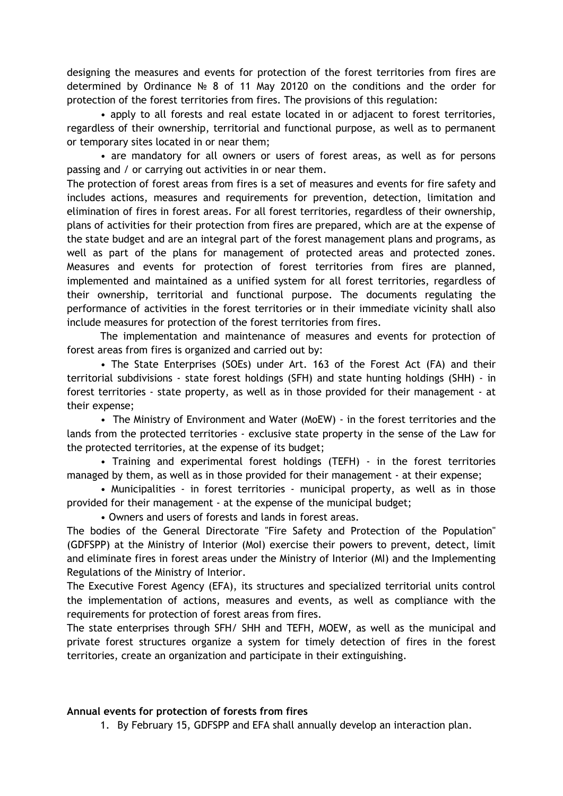designing the measures and events for protection of the forest territories from fires are determined by Ordinance № 8 of 11 May 20120 on the conditions and the order for protection of the forest territories from fires. The provisions of this regulation:

• apply to all forests and real estate located in or adjacent to forest territories, regardless of their ownership, territorial and functional purpose, as well as to permanent or temporary sites located in or near them;

• are mandatory for all owners or users of forest areas, as well as for persons passing and / or carrying out activities in or near them.

The protection of forest areas from fires is a set of measures and events for fire safety and includes actions, measures and requirements for prevention, detection, limitation and elimination of fires in forest areas. For all forest territories, regardless of their ownership, plans of activities for their protection from fires are prepared, which are at the expense of the state budget and are an integral part of the forest management plans and programs, as well as part of the plans for management of protected areas and protected zones. Measures and events for protection of forest territories from fires are planned, implemented and maintained as a unified system for all forest territories, regardless of their ownership, territorial and functional purpose. The documents regulating the performance of activities in the forest territories or in their immediate vicinity shall also include measures for protection of the forest territories from fires.

The implementation and maintenance of measures and events for protection of forest areas from fires is organized and carried out by:

• The State Enterprises (SOEs) under Art. 163 of the Forest Act (FA) and their territorial subdivisions - state forest holdings (SFH) and state hunting holdings (SHH) - in forest territories - state property, as well as in those provided for their management - at their expense;

• The Ministry of Environment and Water (MoEW) - in the forest territories and the lands from the protected territories - exclusive state property in the sense of the Law for the protected territories, at the expense of its budget;

• Training and experimental forest holdings (TEFH) - in the forest territories managed by them, as well as in those provided for their management - at their expense;

• Municipalities - in forest territories - municipal property, as well as in those provided for their management - at the expense of the municipal budget;

• Owners and users of forests and lands in forest areas.

The bodies of the General Directorate "Fire Safety and Protection of the Population" (GDFSPP) at the Ministry of Interior (MoI) exercise their powers to prevent, detect, limit and eliminate fires in forest areas under the Ministry of Interior (MI) and the Implementing Regulations of the Ministry of Interior.

The Executive Forest Agency (EFA), its structures and specialized territorial units control the implementation of actions, measures and events, as well as compliance with the requirements for protection of forest areas from fires.

The state enterprises through SFH/ SHH and TEFH, MOEW, as well as the municipal and private forest structures organize a system for timely detection of fires in the forest territories, create an organization and participate in their extinguishing.

#### **Annual events for protection of forests from fires**

1. By February 15, GDFSPP and EFA shall annually develop an interaction plan.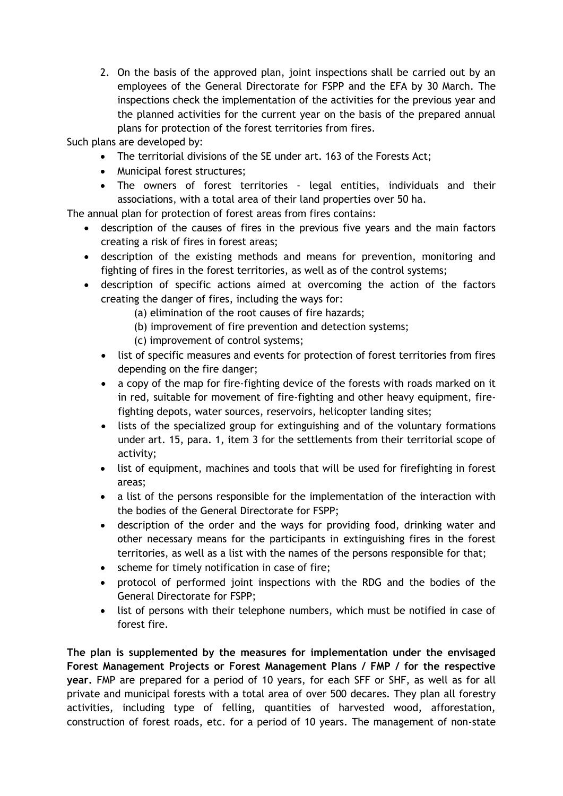2. On the basis of the approved plan, joint inspections shall be carried out by an employees of the General Directorate for FSPP and the EFA by 30 March. The inspections check the implementation of the activities for the previous year and the planned activities for the current year on the basis of the prepared annual plans for protection of the forest territories from fires.

Such plans are developed by:

- The territorial divisions of the SE under art. 163 of the Forests Act;
- Municipal forest structures;
- The owners of forest territories legal entities, individuals and their associations, with a total area of their land properties over 50 ha.

The annual plan for protection of forest areas from fires contains:

- description of the causes of fires in the previous five years and the main factors creating a risk of fires in forest areas;
- description of the existing methods and means for prevention, monitoring and fighting of fires in the forest territories, as well as of the control systems;
- description of specific actions aimed at overcoming the action of the factors creating the danger of fires, including the ways for:
	- (a) elimination of the root causes of fire hazards;
	- (b) improvement of fire prevention and detection systems;
	- (c) improvement of control systems;
	- list of specific measures and events for protection of forest territories from fires depending on the fire danger;
	- a copy of the map for fire-fighting device of the forests with roads marked on it in red, suitable for movement of fire-fighting and other heavy equipment, firefighting depots, water sources, reservoirs, helicopter landing sites;
	- lists of the specialized group for extinguishing and of the voluntary formations under art. 15, para. 1, item 3 for the settlements from their territorial scope of activity;
	- list of equipment, machines and tools that will be used for firefighting in forest areas;
	- a list of the persons responsible for the implementation of the interaction with the bodies of the General Directorate for FSPP;
	- description of the order and the ways for providing food, drinking water and other necessary means for the participants in extinguishing fires in the forest territories, as well as a list with the names of the persons responsible for that;
	- scheme for timely notification in case of fire;
	- protocol of performed joint inspections with the RDG and the bodies of the General Directorate for FSPP;
	- list of persons with their telephone numbers, which must be notified in case of forest fire.

**The plan is supplemented by the measures for implementation under the envisaged Forest Management Projects or Forest Management Plans / FMP / for the respective year.** FMP are prepared for a period of 10 years, for each SFF or SHF, as well as for all private and municipal forests with a total area of over 500 decares. They plan all forestry activities, including type of felling, quantities of harvested wood, afforestation, construction of forest roads, etc. for a period of 10 years. The management of non-state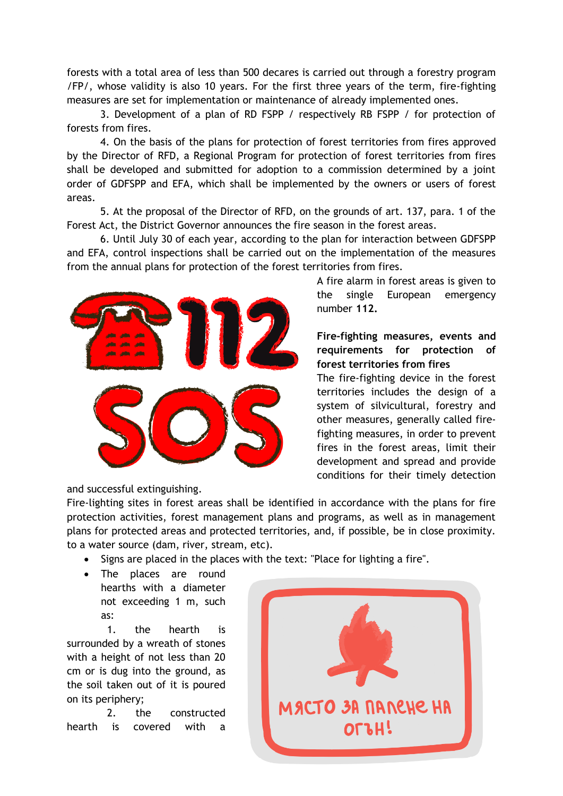forests with a total area of less than 500 decares is carried out through a forestry program /FP/, whose validity is also 10 years. For the first three years of the term, fire-fighting measures are set for implementation or maintenance of already implemented ones.

3. Development of a plan of RD FSPP / respectively RB FSPP / for protection of forests from fires.

4. On the basis of the plans for protection of forest territories from fires approved by the Director of RFD, a Regional Program for protection of forest territories from fires shall be developed and submitted for adoption to a commission determined by a joint order of GDFSPP and EFA, which shall be implemented by the owners or users of forest areas.

5. At the proposal of the Director of RFD, on the grounds of art. 137, para. 1 of the Forest Act, the District Governor announces the fire season in the forest areas.

6. Until July 30 of each year, according to the plan for interaction between GDFSPP and EFA, control inspections shall be carried out on the implementation of the measures from the annual plans for protection of the forest territories from fires.



A fire alarm in forest areas is given to the single European emergency number **112.**

**Fire-fighting measures, events and requirements for protection of forest territories from fires**

The fire-fighting device in the forest territories includes the design of a system of silvicultural, forestry and other measures, generally called firefighting measures, in order to prevent fires in the forest areas, limit their development and spread and provide conditions for their timely detection

and successful extinguishing.

Fire-lighting sites in forest areas shall be identified in accordance with the plans for fire protection activities, forest management plans and programs, as well as in management plans for protected areas and protected territories, and, if possible, be in close proximity. to a water source (dam, river, stream, etc).

• Signs are placed in the places with the text: "Place for lighting a fire".

 The places are round hearths with a diameter not exceeding 1 m, such as:

1. the hearth is surrounded by a wreath of stones with a height of not less than 20 cm or is dug into the ground, as the soil taken out of it is poured on its periphery;

2. the constructed hearth is covered with a

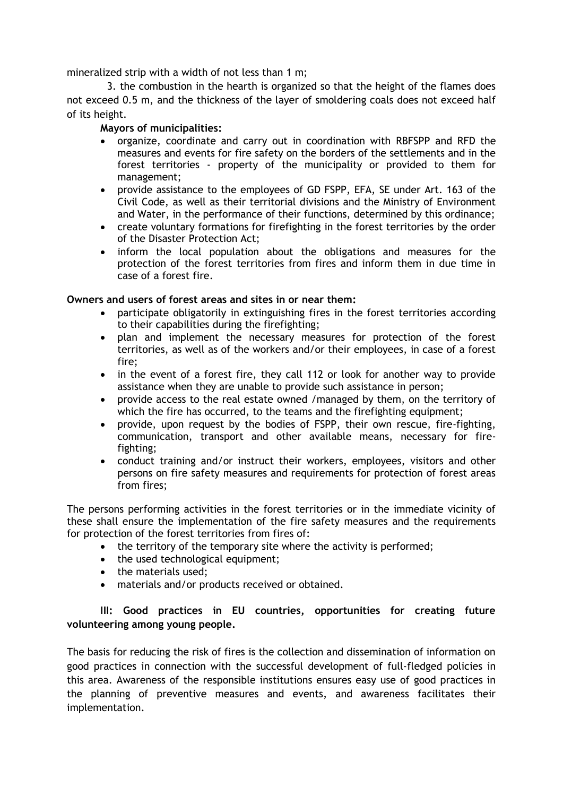mineralized strip with a width of not less than 1 m;

3. the combustion in the hearth is organized so that the height of the flames does not exceed 0.5 m, and the thickness of the layer of smoldering coals does not exceed half of its height.

#### **Mayors of municipalities:**

- organize, coordinate and carry out in coordination with RBFSPP and RFD the measures and events for fire safety on the borders of the settlements and in the forest territories - property of the municipality or provided to them for management;
- provide assistance to the employees of GD FSPP, EFA, SE under Art. 163 of the Civil Code, as well as their territorial divisions and the Ministry of Environment and Water, in the performance of their functions, determined by this ordinance;
- create voluntary formations for firefighting in the forest territories by the order of the Disaster Protection Act;
- inform the local population about the obligations and measures for the protection of the forest territories from fires and inform them in due time in case of a forest fire.

### **Owners and users of forest areas and sites in or near them:**

- participate obligatorily in extinguishing fires in the forest territories according to their capabilities during the firefighting;
- plan and implement the necessary measures for protection of the forest territories, as well as of the workers and/or their employees, in case of a forest fire;
- in the event of a forest fire, they call 112 or look for another way to provide assistance when they are unable to provide such assistance in person;
- provide access to the real estate owned /managed by them, on the territory of which the fire has occurred, to the teams and the firefighting equipment;
- provide, upon request by the bodies of FSPP, their own rescue, fire-fighting, communication, transport and other available means, necessary for firefighting;
- conduct training and/or instruct their workers, employees, visitors and other persons on fire safety measures and requirements for protection of forest areas from fires;

The persons performing activities in the forest territories or in the immediate vicinity of these shall ensure the implementation of the fire safety measures and the requirements for protection of the forest territories from fires of:

- the territory of the temporary site where the activity is performed;
- the used technological equipment;
- the materials used;
- materials and/or products received or obtained.

# **IIІ: Good practices in EU countries, opportunities for creating future volunteering among young people.**

The basis for reducing the risk of fires is the collection and dissemination of information on good practices in connection with the successful development of full-fledged policies in this area. Awareness of the responsible institutions ensures easy use of good practices in the planning of preventive measures and events, and awareness facilitates their implementation.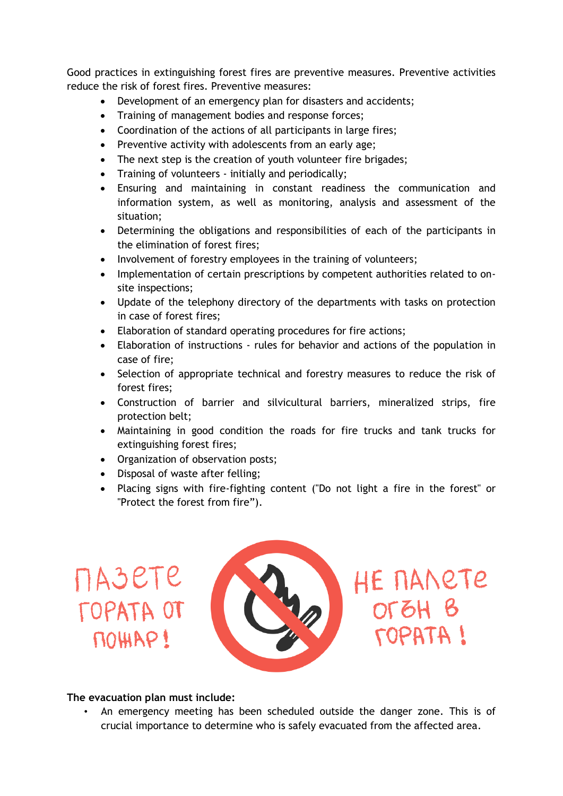Good practices in extinguishing forest fires are preventive measures. Preventive activities reduce the risk of forest fires. Preventive measures:

- Development of an emergency plan for disasters and accidents;
- Training of management bodies and response forces;
- Coordination of the actions of all participants in large fires;
- Preventive activity with adolescents from an early age;
- The next step is the creation of youth volunteer fire brigades;
- Training of volunteers initially and periodically;
- Ensuring and maintaining in constant readiness the communication and information system, as well as monitoring, analysis and assessment of the situation;
- Determining the obligations and responsibilities of each of the participants in the elimination of forest fires;
- Involvement of forestry employees in the training of volunteers;
- Implementation of certain prescriptions by competent authorities related to onsite inspections;
- Update of the telephony directory of the departments with tasks on protection in case of forest fires;
- Elaboration of standard operating procedures for fire actions;
- Elaboration of instructions rules for behavior and actions of the population in case of fire;
- Selection of appropriate technical and forestry measures to reduce the risk of forest fires;
- Construction of barrier and silvicultural barriers, mineralized strips, fire protection belt;
- Maintaining in good condition the roads for fire trucks and tank trucks for extinguishing forest fires;
- Organization of observation posts;
- Disposal of waste after felling;
- Placing signs with fire-fighting content ("Do not light a fire in the forest" or "Protect the forest from fire").

# **NASETE TOPATA OT** NOHIAP!



HE NANETE  $OTCH B$ **I ATA907** 

# **The evacuation plan must include:**

• An emergency meeting has been scheduled outside the danger zone. This is of crucial importance to determine who is safely evacuated from the affected area.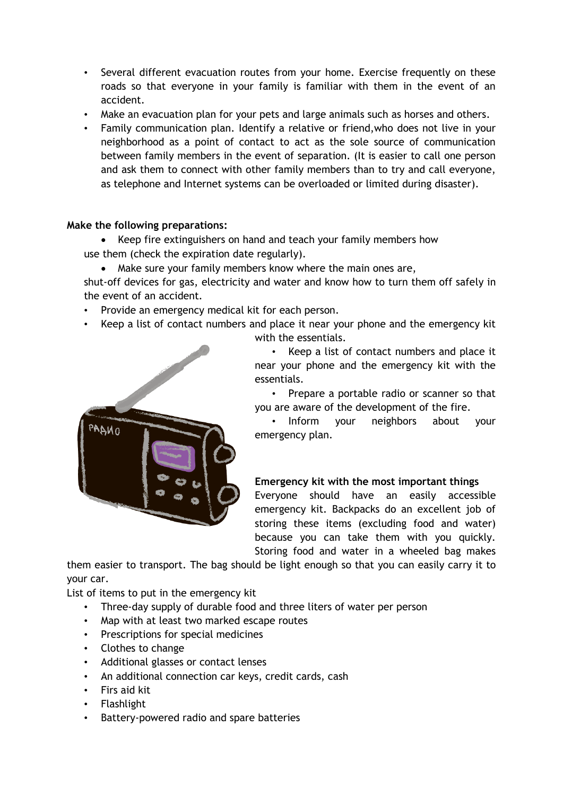- Several different evacuation routes from your home. Exercise frequently on these roads so that everyone in your family is familiar with them in the event of an accident.
- Make an evacuation plan for your pets and large animals such as horses and others.
- Family communication plan. Identify a relative or friend,who does not live in your neighborhood as a point of contact to act as the sole source of communication between family members in the event of separation. (It is easier to call one person and ask them to connect with other family members than to try and call everyone, as telephone and Internet systems can be overloaded or limited during disaster).

### **Make the following preparations:**

 Keep fire extinguishers on hand and teach your family members how use them (check the expiration date regularly).

Make sure your family members know where the main ones are,

shut-off devices for gas, electricity and water and know how to turn them off safely in the event of an accident.

- Provide an emergency medical kit for each person.
- Keep a list of contact numbers and place it near your phone and the emergency kit with the essentials.



• Keep a list of contact numbers and place it near your phone and the emergency kit with the essentials.

• Prepare a portable radio or scanner so that you are aware of the development of the fire.

• Inform your neighbors about your emergency plan.

# **Emergency kit with the most important things**

Everyone should have an easily accessible emergency kit. Backpacks do an excellent job of storing these items (excluding food and water) because you can take them with you quickly. Storing food and water in a wheeled bag makes

them easier to transport. The bag should be light enough so that you can easily carry it to your car.

List of items to put in the emergency kit

- Three-day supply of durable food and three liters of water per person
- Map with at least two marked escape routes
- Prescriptions for special medicines
- Clothes to change
- Additional glasses or contact lenses
- An additional connection car keys, credit cards, cash
- Firs aid kit
- Flashlight
- Battery-powered radio and spare batteries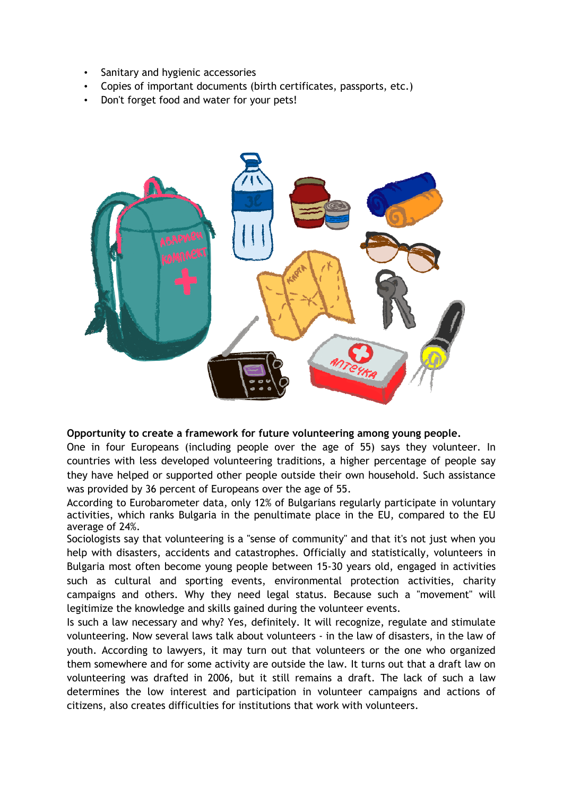- Sanitary and hygienic accessories
- Copies of important documents (birth certificates, passports, etc.)
- Don't forget food and water for your pets!



#### **Opportunity to create a framework for future volunteering among young people.**

One in four Europeans (including people over the age of 55) says they volunteer. In countries with less developed volunteering traditions, a higher percentage of people say they have helped or supported other people outside their own household. Such assistance was provided by 36 percent of Europeans over the age of 55.

According to Eurobarometer data, only 12% of Bulgarians regularly participate in voluntary activities, which ranks Bulgaria in the penultimate place in the EU, compared to the EU average of 24%.

Sociologists say that volunteering is a "sense of community" and that it's not just when you help with disasters, accidents and catastrophes. Officially and statistically, volunteers in Bulgaria most often become young people between 15-30 years old, engaged in activities such as cultural and sporting events, environmental protection activities, charity campaigns and others. Why they need legal status. Because such a "movement" will legitimize the knowledge and skills gained during the volunteer events.

Is such a law necessary and why? Yes, definitely. It will recognize, regulate and stimulate volunteering. Now several laws talk about volunteers - in the law of disasters, in the law of youth. According to lawyers, it may turn out that volunteers or the one who organized them somewhere and for some activity are outside the law. It turns out that a draft law on volunteering was drafted in 2006, but it still remains a draft. The lack of such a law determines the low interest and participation in volunteer campaigns and actions of citizens, also creates difficulties for institutions that work with volunteers.